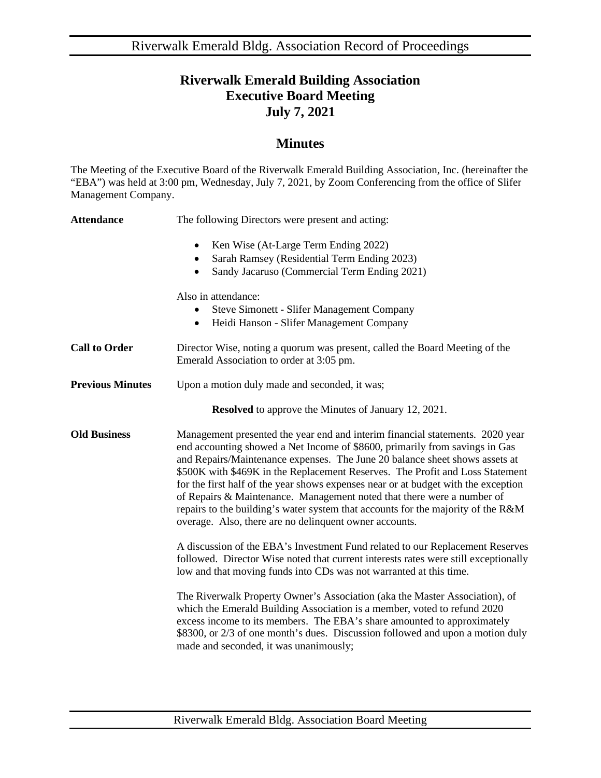## **Riverwalk Emerald Building Association Executive Board Meeting July 7, 2021**

## **Minutes**

The Meeting of the Executive Board of the Riverwalk Emerald Building Association, Inc. (hereinafter the "EBA") was held at 3:00 pm, Wednesday, July 7, 2021, by Zoom Conferencing from the office of Slifer Management Company.

| <b>Attendance</b>       | The following Directors were present and acting:                                                                                                                                                                                                                                                                                                                                                                                                                                                                                                                                                                                           |
|-------------------------|--------------------------------------------------------------------------------------------------------------------------------------------------------------------------------------------------------------------------------------------------------------------------------------------------------------------------------------------------------------------------------------------------------------------------------------------------------------------------------------------------------------------------------------------------------------------------------------------------------------------------------------------|
|                         | Ken Wise (At-Large Term Ending 2022)<br>٠<br>Sarah Ramsey (Residential Term Ending 2023)<br>٠<br>Sandy Jacaruso (Commercial Term Ending 2021)<br>٠                                                                                                                                                                                                                                                                                                                                                                                                                                                                                         |
|                         | Also in attendance:<br><b>Steve Simonett - Slifer Management Company</b><br>Heidi Hanson - Slifer Management Company<br>$\bullet$                                                                                                                                                                                                                                                                                                                                                                                                                                                                                                          |
| <b>Call to Order</b>    | Director Wise, noting a quorum was present, called the Board Meeting of the<br>Emerald Association to order at 3:05 pm.                                                                                                                                                                                                                                                                                                                                                                                                                                                                                                                    |
| <b>Previous Minutes</b> | Upon a motion duly made and seconded, it was;                                                                                                                                                                                                                                                                                                                                                                                                                                                                                                                                                                                              |
|                         | <b>Resolved</b> to approve the Minutes of January 12, 2021.                                                                                                                                                                                                                                                                                                                                                                                                                                                                                                                                                                                |
| <b>Old Business</b>     | Management presented the year end and interim financial statements. 2020 year<br>end accounting showed a Net Income of \$8600, primarily from savings in Gas<br>and Repairs/Maintenance expenses. The June 20 balance sheet shows assets at<br>\$500K with \$469K in the Replacement Reserves. The Profit and Loss Statement<br>for the first half of the year shows expenses near or at budget with the exception<br>of Repairs & Maintenance. Management noted that there were a number of<br>repairs to the building's water system that accounts for the majority of the R&M<br>overage. Also, there are no delinquent owner accounts. |
|                         | A discussion of the EBA's Investment Fund related to our Replacement Reserves<br>followed. Director Wise noted that current interests rates were still exceptionally<br>low and that moving funds into CDs was not warranted at this time.                                                                                                                                                                                                                                                                                                                                                                                                 |
|                         | The Riverwalk Property Owner's Association (aka the Master Association), of<br>which the Emerald Building Association is a member, voted to refund 2020<br>excess income to its members. The EBA's share amounted to approximately<br>\$8300, or 2/3 of one month's dues. Discussion followed and upon a motion duly<br>made and seconded, it was unanimously;                                                                                                                                                                                                                                                                             |